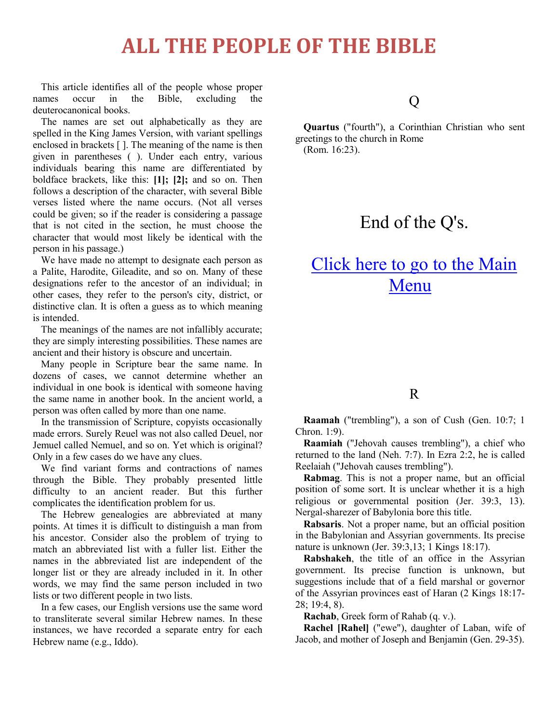## ALL THE PEOPLE OF THE B

This article identifies all of the people whose proper names occur in the Bible, excluding the deuterocanonical books.  $\Omega$ 

The names are set out alphabetically a quitter they have a Corinthian Christian in the Virginian metal who sented the University of the University of the University of the University of the University of the University of spelled in the King Jamveasible t sapelling in enclosed in brTahcekents and ing of the named  $\frac{1}{2}$  is then given in paren)theUsnedser(each entry, various individuals bearing this name are differentiated by boldface bracket $[1]$ jik $[2]$ n; thisso on. Then follows a description of the character, with several Bible verselisted where the name occurs. (Not all verses could be given; so if the reader is considering a passage could be given, so if the reader is considering a passage Qt \$1.0 character that would most likely be identical with the person in his passage.) "g<sup>u</sup>reetings.chountohhe in Rome  $($   $\frac{1}{2}$   $\frac{1}{2}$   $\frac{1}{2}$   $\frac{1}{6}$   $\frac{1}{2}$   $\frac{1}{6}$   $\frac{1}{2}$   $\frac{1}{2}$   $\frac{1}{2}$   $\frac{1}{2}$ 

We have matteempt taxt designate each person als a Palite, Harodite, Golne.adMaen,y aonfd these designations refer to the ancestor of an individual pip u other cases, they refer to the person's city, di<del>strict,</del> or distinctive clan. It is often **a** agnui**nes** as to which m is intended. here to go to

The meanithers no almes are not infallibly accurate; they are simply interesting possibilities. These names are ancient and their history is obscure and uncertain.

Many people in Scripture bear the same name. In

dozens of casess, otweletœarmine whether an

individual in one book book is with someone having

 $\frac{1}{100}$  is the same name in another book. In the ancient world, a

person was often called by more than one name.

In the transmission of Scripture, copy<sup>2</sup>3 ps 4 bbc ears bo in 20 iv, Caussion (Goen. 10: made erroerlsy. RS on u ent owt a as is  $\mathbf{e}$  dc  $\mathbf{D}$  leiuel, no  $\mathbf{G}$  hron. 1:9).

Jemuel callueed Næmd so on. Yet which is a ang hindephovah causes trembling") Only in a few cases do we have any  $\epsilon$  put is ned to the land (Neh. 7:7). In E We find variant forms and contracted angles ("Adentions" antrembling").

through the Bible. They probably predsment of bis little and a propeofficationed, difficulty to ciæmt ame ader. But this PO Suitin per of some sort. It is unclear complicates the identification proble fre lfigs wisor governmental position (

The Hebrew genealogies are abbr@l *Gifasse*d arge an an yBabylonia bore this points. At times it is difficult to disti $R$  a beam  $N$  to  $m$  an p f p  $p$   $p$   $p$   $q$   $r$  name, but an o his ancestor. Consider also the probleme Babylonganoand Assyrian gove match an abdblist witch a fuller list. Enthuge in eunknown (Jer. 39:3,13; 1 K names in the abbreviated list are in be pentual theofit the of an office in long bist or they are already include government oth to precise function words, we may find the same person ungeration sinn funde that of a field lists or two different people in two lists assyrian provinces east of Har In a few s, case English verseame es wurdered  $24\beta e$  19:4, 8).

to transliterate several similar Hebre Rwach ban berse knfon pise f Rahab (q. v.).  $i$ nstances, wr**eco**nadveed a separate entry $R$  476 hed a $c$ Fh(a"heewl), daughter wiofe Loan ban,  $c$ Hebrew name (e.g., Iddo).  $Jacob$ , and mother of  $Joseph$   $B\ddot{o}d$ . Be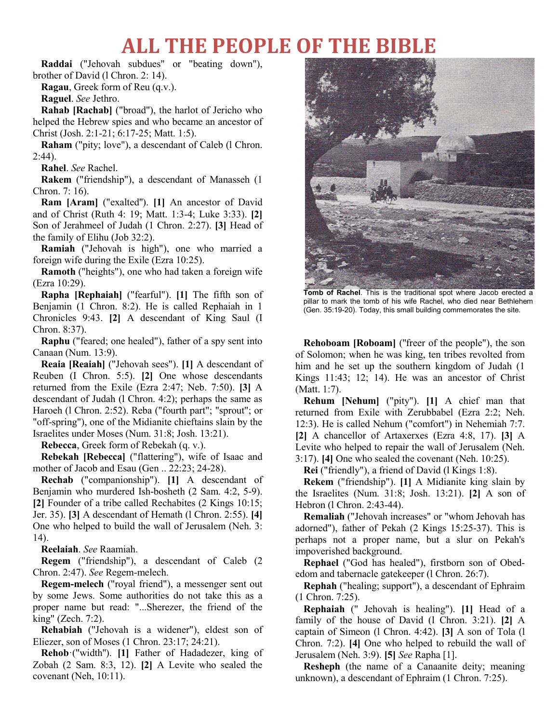## **ALL THE PEOPLE OF THE BIBLE**

**Raddai** ("Jehovah subdues" or "beating down"), brother of David (l Chron. 2: 14).

**Ragau**, Greek form of Reu (q.v.).

**Raguel**. *See* Jethro.

**Rahab [Rachab]** ("broad"), the harlot of Jericho who helped the Hebrew spies and who became an ancestor of Christ (Josh. 2:1-21; 6:17-25; Matt. 1:5).

**Raham** ("pity; love"), a descendant of Caleb (l Chron.  $2:44$ ).

**Rahel**. *See* Rachel.

**Rakem** ("friendship"), a descendant of Manasseh (1 Chron. 7: 16).

**Ram [Aram]** ("exalted''). **[1]** An ancestor of David and of Christ (Ruth 4: 19; Matt. 1:3-4; Luke 3:33). **[2]** Son of Jerahmeel of Judah (1 Chron. 2:27). **[3]** Head of the family of Elihu (Job 32:2).

**Ramiah** ("Jehovah is high"), one who married a foreign wife during the Exile (Ezra 10:25).

**Ramoth** ("heights"), one who had taken a foreign wife (Ezra 10:29).

**Rapha [Rephaiah]** ("fearful"). **[1]** The fifth son of Benjamin (1 Chron. 8:2). He is called Rephaiah in 1 Chronicles 9:43. **[2]** A descendant of King Saul (I Chron. 8:37).

**Raphu** ("feared; one healed"), father of a spy sent into Canaan (Num. 13:9).

**Reaia [Reaiah]** ("Jehovah sees"). **[1]** A descendant of Reuben (I Chron. 5:5). **[2]** One whose descendants returned from the Exile (Ezra 2:47; Neb. 7:50). **[3]** A descendant of Judah (l Chron. 4:2); perhaps the same as Haroeh (l Chron. 2:52). Reba ("fourth part"; "sprout"; or "off-spring"), one of the Midianite chieftains slain by the Israelites under Moses (Num. 31:8; Josh. 13:21).

**Rebecca**, Greek form of Rebekah (q. v.).

**Rebekah [Rebecca]** ("flattering"), wife of Isaac and mother of Jacob and Esau (Gen .. 22:23; 24-28).

**Rechab** ("companionship"). **[1]** A descendant of Benjamin who murdered Ish-bosheth (2 Sam. 4:2, 5-9). **[2]** Founder of a tribe called Rechabites (2 Kings 10:15; Jer. 35). **[3]** A descendant of Hemath (l Chron. 2:55). **[4]** One who helped to build the wall of Jerusalem (Neh. 3: 14).

**Reelaiah**. *See* Raamiah.

**Regem** ("friendship"), a descendant of Caleb (2 Chron. 2:47). *See* Regem-melech.

**Regem-melech** ("royal friend"), a messenger sent out by some Jews. Some authorities do not take this as a proper name but read: "...Sherezer, the friend of the king" (Zech. 7:2).

**Rehabiah** ("Jehovah is a widener"), eldest son of Eliezer, son of Moses (1 Chron. 23:17; 24:21).

**Rehob**·("width''). **[1]** Father of Hadadezer, king of Zobah (2 Sam. 8:3, 12). **[2]** A Levite who sealed the covenant (Neh, 10:11).



**Tomb of Rachel**. This is the traditional spot where Jacob erected a pillar to mark the tomb of his wife Rachel, who died near Bethlehem (Gen. 35:19-20). Today, this small building commemorates the site.

**Rehoboam [Roboam]** ("freer of the people"), the son of Solomon; when he was king, ten tribes revolted from him and he set up the southern kingdom of Judah (1 Kings 11:43; 12; 14). He was an ancestor of Christ (Matt. 1:7).

**Rehum [Nehum]** ("pity"). **[1]** A chief man that returned from Exile with Zerubbabel (Ezra 2:2; Neh. 12:3). He is called Nehum ("comfort") in Nehemiah 7:7. **[2]** A chancellor of Artaxerxes (Ezra 4:8, 17). **[3]** A Levite who helped to repair the wall of Jerusalem (Neh. 3:17). **[4]** One who sealed the covenant (Neh. 10:25).

**Rei** ("friendly"), a friend of David (l Kings 1:8).

**Rekem** ("friendship"). **[1]** A Midianite king slain by the Israelites (Num. 31:8; Josh. 13:21). **[2]** A son of Hebron (l Chron. 2:43-44).

**Remaliah** ("Jehovah increases" or "whom Jehovah has adorned"), father of Pekah (2 Kings 15:25-37). This is perhaps not a proper name, but a slur on Pekah's impoverished background.

**Rephael** ("God has healed"), firstborn son of Obededom and tabernacle gatekeeper (l Chron. 26:7).

**Rephah** ("healing; support"), a descendant of Ephraim (1 Chron. 7:25).

**Rephaiah** (" Jehovah is healing"). **[1]** Head of a family of the house of David (l Chron. 3:21). **[2]** A captain of Simeon (l Chron. 4:42). **[3]** A son of Tola (l Chron. 7:2). **[4]** One who helped to rebuild the wall of Jerusalem (Neh. 3:9). **[5]** *See* Rapha [1].

**Resheph** (the name of a Canaanite deity; meaning unknown), a descendant of Ephraim (1 Chron. 7:25).